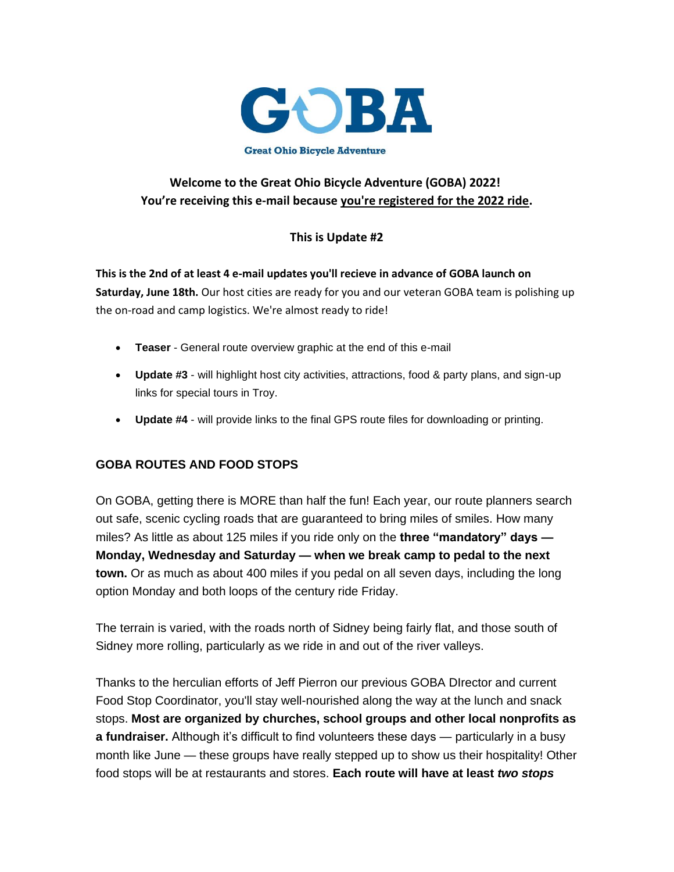

## **Welcome to the Great Ohio Bicycle Adventure (GOBA) 2022! You're receiving this e-mail because you're registered for the 2022 ride.**

## **This is Update #2**

**This is the 2nd of at least 4 e-mail updates you'll recieve in advance of GOBA launch on Saturday, June 18th.** Our host cities are ready for you and our veteran GOBA team is polishing up the on-road and camp logistics. We're almost ready to ride!

- **Teaser** General route overview graphic at the end of this e-mail
- **Update #3** will highlight host city activities, attractions, food & party plans, and sign-up links for special tours in Troy.
- **Update #4** will provide links to the final GPS route files for downloading or printing.

### **GOBA ROUTES AND FOOD STOPS**

On GOBA, getting there is MORE than half the fun! Each year, our route planners search out safe, scenic cycling roads that are guaranteed to bring miles of smiles. How many miles? As little as about 125 miles if you ride only on the **three "mandatory" days — Monday, Wednesday and Saturday — when we break camp to pedal to the next town.** Or as much as about 400 miles if you pedal on all seven days, including the long option Monday and both loops of the century ride Friday.

The terrain is varied, with the roads north of Sidney being fairly flat, and those south of Sidney more rolling, particularly as we ride in and out of the river valleys.

Thanks to the herculian efforts of Jeff Pierron our previous GOBA DIrector and current Food Stop Coordinator, you'll stay well-nourished along the way at the lunch and snack stops. **Most are organized by churches, school groups and other local nonprofits as a fundraiser.** Although it's difficult to find volunteers these days — particularly in a busy month like June — these groups have really stepped up to show us their hospitality! Other food stops will be at restaurants and stores. **Each route will have at least** *two stops*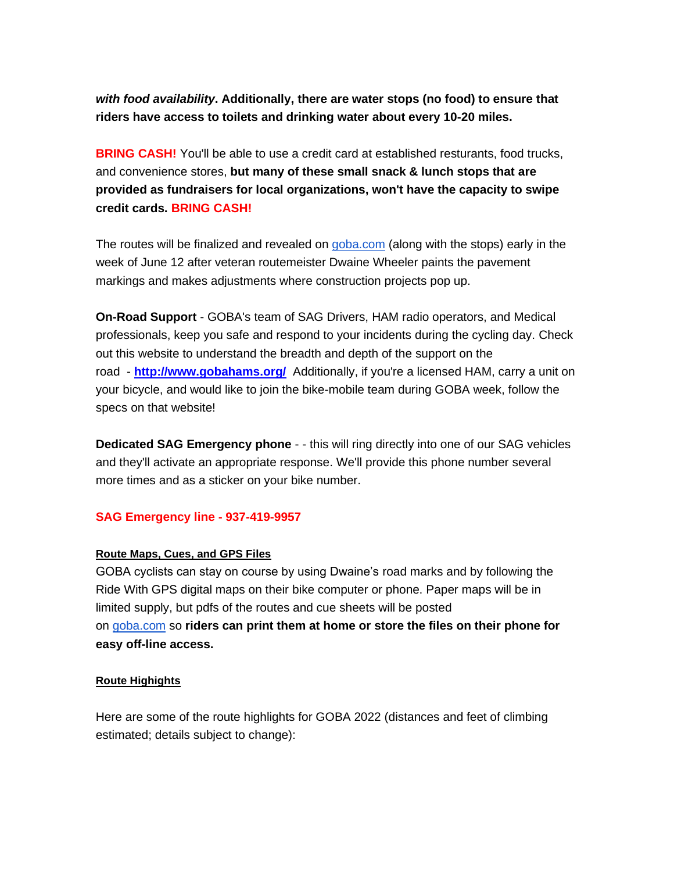*with food availability***. Additionally, there are water stops (no food) to ensure that riders have access to toilets and drinking water about every 10-20 miles.**

**BRING CASH!** You'll be able to use a credit card at established resturants, food trucks, and convenience stores, **but many of these small snack & lunch stops that are provided as fundraisers for local organizations, won't have the capacity to swipe credit cards. BRING CASH!**

The routes will be finalized and revealed on [goba.com](http://goba.com/) (along with the stops) early in the week of June 12 after veteran routemeister Dwaine Wheeler paints the pavement markings and makes adjustments where construction projects pop up.

**On-Road Support** - GOBA's team of SAG Drivers, HAM radio operators, and Medical professionals, keep you safe and respond to your incidents during the cycling day. Check out this website to understand the breadth and depth of the support on the road - **[http://www.gobahams.org/](https://app.donorview.com/Communication/Click?prm=BsHBZGYqj28wcCPEIAPqwqT0FhNWEXouKgg52SwIdgFLXGqmgD1yFYQL7jZBS89mCEfAfqQcRIVM1p5bHeKAmfyOa8NhO4XPoLrF1C5D1ZN2r0XYJzB-qBWYyDOQo2QsMuO29iTsoAgk--SsEHay-KBZYxfcogpzJw1onD06kJWtaNSR0dNc0UtwhEeqRXCIf0ibGpDdQUFdwVcdytaXzmHSZ7EJ6E_x8zWm8tcVa0I1&target=http%3a%2f%2fwww.gobahams.org%2f)** Additionally, if you're a licensed HAM, carry a unit on your bicycle, and would like to join the bike-mobile team during GOBA week, follow the specs on that website!

**Dedicated SAG Emergency phone** - - this will ring directly into one of our SAG vehicles and they'll activate an appropriate response. We'll provide this phone number several more times and as a sticker on your bike number.

#### **SAG Emergency line - 937-419-9957**

#### **Route Maps, Cues, and GPS Files**

GOBA cyclists can stay on course by using Dwaine's road marks and by following the Ride With GPS digital maps on their bike computer or phone. Paper maps will be in limited supply, but pdfs of the routes and cue sheets will be posted on [goba.com](http://goba.com/) so **riders can print them at home or store the files on their phone for easy off-line access.**

#### **Route Highights**

Here are some of the route highlights for GOBA 2022 (distances and feet of climbing estimated; details subject to change):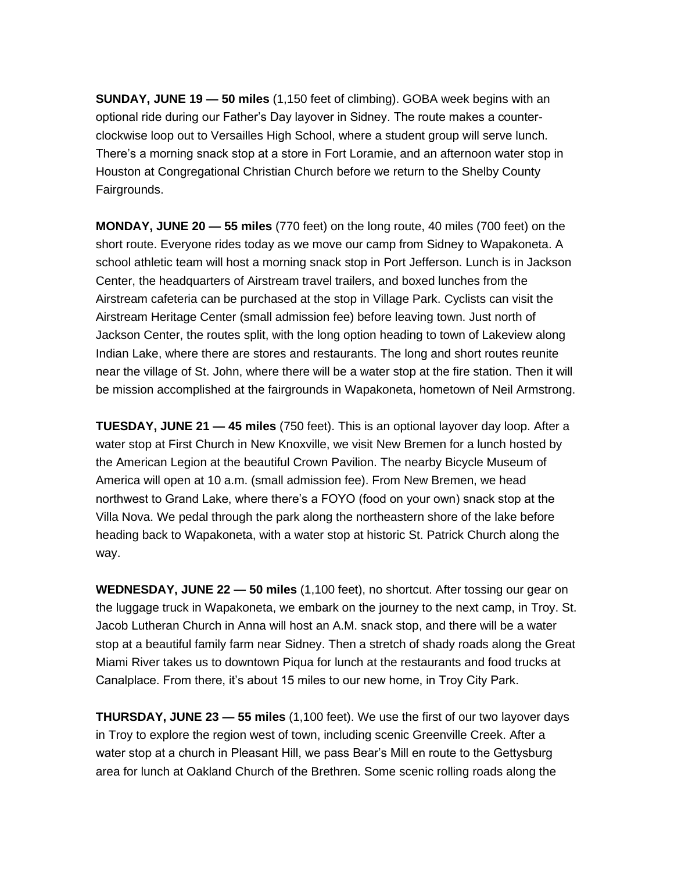**SUNDAY, JUNE 19 — 50 miles** (1,150 feet of climbing). GOBA week begins with an optional ride during our Father's Day layover in Sidney. The route makes a counterclockwise loop out to Versailles High School, where a student group will serve lunch. There's a morning snack stop at a store in Fort Loramie, and an afternoon water stop in Houston at Congregational Christian Church before we return to the Shelby County Fairgrounds.

**MONDAY, JUNE 20 — 55 miles** (770 feet) on the long route, 40 miles (700 feet) on the short route. Everyone rides today as we move our camp from Sidney to Wapakoneta. A school athletic team will host a morning snack stop in Port Jefferson. Lunch is in Jackson Center, the headquarters of Airstream travel trailers, and boxed lunches from the Airstream cafeteria can be purchased at the stop in Village Park. Cyclists can visit the Airstream Heritage Center (small admission fee) before leaving town. Just north of Jackson Center, the routes split, with the long option heading to town of Lakeview along Indian Lake, where there are stores and restaurants. The long and short routes reunite near the village of St. John, where there will be a water stop at the fire station. Then it will be mission accomplished at the fairgrounds in Wapakoneta, hometown of Neil Armstrong.

**TUESDAY, JUNE 21 — 45 miles** (750 feet). This is an optional layover day loop. After a water stop at First Church in New Knoxville, we visit New Bremen for a lunch hosted by the American Legion at the beautiful Crown Pavilion. The nearby Bicycle Museum of America will open at 10 a.m. (small admission fee). From New Bremen, we head northwest to Grand Lake, where there's a FOYO (food on your own) snack stop at the Villa Nova. We pedal through the park along the northeastern shore of the lake before heading back to Wapakoneta, with a water stop at historic St. Patrick Church along the way.

**WEDNESDAY, JUNE 22 — 50 miles** (1,100 feet), no shortcut. After tossing our gear on the luggage truck in Wapakoneta, we embark on the journey to the next camp, in Troy. St. Jacob Lutheran Church in Anna will host an A.M. snack stop, and there will be a water stop at a beautiful family farm near Sidney. Then a stretch of shady roads along the Great Miami River takes us to downtown Piqua for lunch at the restaurants and food trucks at Canalplace. From there, it's about 15 miles to our new home, in Troy City Park.

**THURSDAY, JUNE 23 — 55 miles** (1,100 feet). We use the first of our two layover days in Troy to explore the region west of town, including scenic Greenville Creek. After a water stop at a church in Pleasant Hill, we pass Bear's Mill en route to the Gettysburg area for lunch at Oakland Church of the Brethren. Some scenic rolling roads along the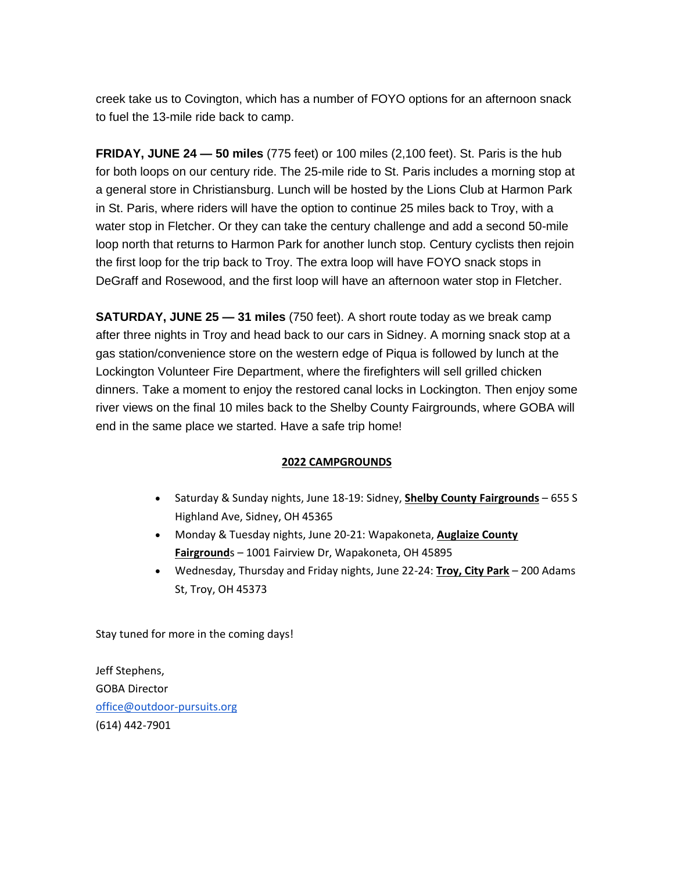creek take us to Covington, which has a number of FOYO options for an afternoon snack to fuel the 13-mile ride back to camp.

**FRIDAY, JUNE 24 — 50 miles** (775 feet) or 100 miles (2,100 feet). St. Paris is the hub for both loops on our century ride. The 25-mile ride to St. Paris includes a morning stop at a general store in Christiansburg. Lunch will be hosted by the Lions Club at Harmon Park in St. Paris, where riders will have the option to continue 25 miles back to Troy, with a water stop in Fletcher. Or they can take the century challenge and add a second 50-mile loop north that returns to Harmon Park for another lunch stop. Century cyclists then rejoin the first loop for the trip back to Troy. The extra loop will have FOYO snack stops in DeGraff and Rosewood, and the first loop will have an afternoon water stop in Fletcher.

**SATURDAY, JUNE 25 — 31 miles** (750 feet). A short route today as we break camp after three nights in Troy and head back to our cars in Sidney. A morning snack stop at a gas station/convenience store on the western edge of Piqua is followed by lunch at the Lockington Volunteer Fire Department, where the firefighters will sell grilled chicken dinners. Take a moment to enjoy the restored canal locks in Lockington. Then enjoy some river views on the final 10 miles back to the Shelby County Fairgrounds, where GOBA will end in the same place we started. Have a safe trip home!

#### **2022 CAMPGROUNDS**

- Saturday & Sunday nights, June 18-19: Sidney, **Shelby County Fairgrounds** 655 S Highland Ave, Sidney, OH 45365
- Monday & Tuesday nights, June 20-21: Wapakoneta, **Auglaize County Fairground**s – 1001 Fairview Dr, Wapakoneta, OH 45895
- Wednesday, Thursday and Friday nights, June 22-24: **Troy, City Park** 200 Adams St, Troy, OH 45373

Stay tuned for more in the coming days!

Jeff Stephens, GOBA Director [office@outdoor-pursuits.org](mailto:office@outdoor-pursuits.org) (614) 442-7901